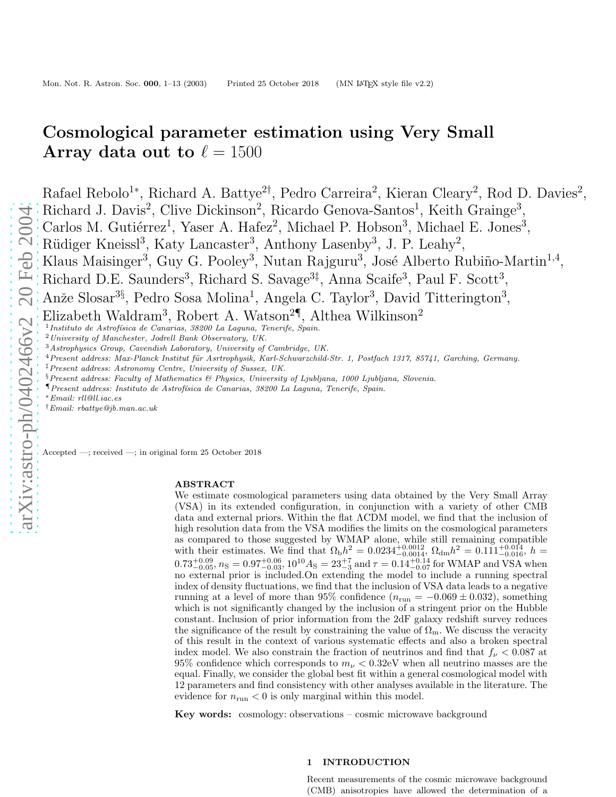# Cosmological parameter estimation using Very Small Array data out to  $\ell = 1500$

Rafael Rebolo<sup>1\*</sup>, Richard A. Battye<sup>2†</sup>, Pedro Carreira<sup>2</sup>, Kieran Cleary<sup>2</sup>, Rod D. Davies<sup>2</sup>, Richard J. Davis<sup>2</sup>, Clive Dickinson<sup>2</sup>, Ricardo Genova-Santos<sup>1</sup>, Keith Grainge<sup>3</sup>, Carlos M. Gutiérrez<sup>1</sup>, Yaser A. Hafez<sup>2</sup>, Michael P. Hobson<sup>3</sup>, Michael E. Jones<sup>3</sup>, Rüdiger Kneissl<sup>3</sup>, Katy Lancaster<sup>3</sup>, Anthony Lasenby<sup>3</sup>, J. P. Leahy<sup>2</sup>, Klaus Maisinger<sup>3</sup>, Guy G. Pooley<sup>3</sup>, Nutan Rajguru<sup>3</sup>, José Alberto Rubiño-Martin<sup>1,4</sup>, Richard D.E. Saunders<sup>3</sup>, Richard S. Savage<sup>3‡</sup>, Anna Scaife<sup>3</sup>, Paul F. Scott<sup>3</sup>, Anže Slosar<sup>3§</sup>, Pedro Sosa Molina<sup>1</sup>, Angela C. Taylor<sup>3</sup>, David Titterington<sup>3</sup>, Elizabeth Waldram<sup>3</sup>, Robert A. Watson<sup>2¶</sup>, Althea Wilkinson<sup>2</sup> <sup>1</sup> Instituto de Astrofísica de Canarias, 38200 La Laguna, Tenerife, Spain.

<sup>2</sup>*University of Manchester, Jodrell Bank Observatory, UK.*

<sup>3</sup>*Astrophysics Group, Cavendish Laboratory, University of Cambridge, UK.*

<sup>4</sup> Present address: Max-Planck Institut für Asrtrophysik, Karl-Schwarzchild-Str. 1, Postfach 1317, 85741, Garching, Germany.

- ‡*Present address: Astronomy Centre, University of Sussex, UK.*
- §*Present address: Faculty of Mathematics & Physics, University of Ljubljana, 1000 Ljubljana, Slovenia.*
- ¶*Present address: Instituto de Astrof´ısica de Canarias, 38200 La Laguna, Tenerife, Spain.*
- <sup>∗</sup>*Email: rll@ll.iac.es*
- †*Email: rbattye@jb.man.ac.uk*

Accepted —; received —; in original form 25 October 2018

#### ABSTRACT

We estimate cosmological parameters using data obtained by the Very Small Array (VSA) in its extended configuration, in conjunction with a variety of other CMB data and external priors. Within the flat ΛCDM model, we find that the inclusion of high resolution data from the VSA modifies the limits on the cosmological parameters as compared to those suggested by WMAP alone, while still remaining compatible with their estimates. We find that  $\Omega_{\rm b}h^2 = 0.0234^{+0.0012}_{-0.0014}$ ,  $\Omega_{\rm dm}h^2 = 0.111^{+0.014}_{-0.016}$ ,  $h =$  $0.73_{-0.05}^{+0.09}$ ,  $n_S = 0.97_{-0.03}^{+0.06}$ ,  $10^{10} A_S = 23_{-3}^{+7}$  and  $\tau = 0.14_{-0.07}^{+0.14}$  for WMAP and VSA when no external prior is included.On extending the model to include a running spectral index of density fluctuations, we find that the inclusion of VSA data leads to a negative running at a level of more than 95% confidence  $(n_{\text{run}} = -0.069 \pm 0.032)$ , something which is not significantly changed by the inclusion of a stringent prior on the Hubble constant. Inclusion of prior information from the 2dF galaxy redshift survey reduces the significance of the result by constraining the value of  $\Omega_{\rm m}$ . We discuss the veracity of this result in the context of various systematic effects and also a broken spectral index model. We also constrain the fraction of neutrinos and find that  $f_{\nu} < 0.087$  at 95% confidence which corresponds to  $m_{\nu} < 0.32$ eV when all neutrino masses are the equal. Finally, we consider the global best fit within a general cosmological model with 12 parameters and find consistency with other analyses available in the literature. The evidence for  $n_{\text{run}} < 0$  is only marginal within this model.

Key words: cosmology: observations – cosmic microwave background

# 1 INTRODUCTION

Recent measurements of the cosmic microwave background (CMB) anisotropies have allowed the determination of a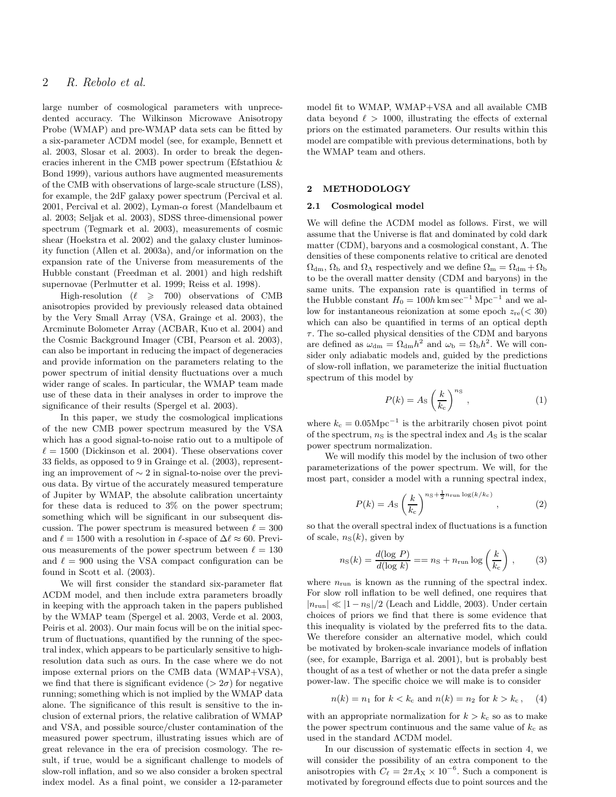# 2 R. Rebolo et al.

large number of cosmological parameters with unprecedented accuracy. The Wilkinson Microwave Anisotropy Probe (WMAP) and pre-WMAP data sets can be fitted by a six-parameter ΛCDM model (see, for example, Bennett et al. 2003, Slosar et al. 2003). In order to break the degeneracies inherent in the CMB power spectrum (Efstathiou & Bond 1999), various authors have augmented measurements of the CMB with observations of large-scale structure (LSS), for example, the 2dF galaxy power spectrum (Percival et al. 2001, Percival et al. 2002), Lyman- $\alpha$  forest (Mandelbaum et al. 2003; Seljak et al. 2003), SDSS three-dimensional power spectrum (Tegmark et al. 2003), measurements of cosmic shear (Hoekstra et al. 2002) and the galaxy cluster luminosity function (Allen et al. 2003a), and/or information on the expansion rate of the Universe from measurements of the Hubble constant (Freedman et al. 2001) and high redshift supernovae (Perlmutter et al. 1999; Reiss et al. 1998).

High-resolution  $(\ell \geq 700)$  observations of CMB anisotropies provided by previously released data obtained by the Very Small Array (VSA, Grainge et al. 2003), the Arcminute Bolometer Array (ACBAR, Kuo et al. 2004) and the Cosmic Background Imager (CBI, Pearson et al. 2003), can also be important in reducing the impact of degeneracies and provide information on the parameters relating to the power spectrum of initial density fluctuations over a much wider range of scales. In particular, the WMAP team made use of these data in their analyses in order to improve the significance of their results (Spergel et al. 2003).

In this paper, we study the cosmological implications of the new CMB power spectrum measured by the VSA which has a good signal-to-noise ratio out to a multipole of  $\ell = 1500$  (Dickinson et al. 2004). These observations cover 33 fields, as opposed to 9 in Grainge et al. (2003), representing an improvement of ∼ 2 in signal-to-noise over the previous data. By virtue of the accurately measured temperature of Jupiter by WMAP, the absolute calibration uncertainty for these data is reduced to 3% on the power spectrum; something which will be significant in our subsequent discussion. The power spectrum is measured between  $\ell = 300$ and  $\ell = 1500$  with a resolution in  $\ell$ -space of  $\Delta \ell \approx 60$ . Previous measurements of the power spectrum between  $\ell = 130$ and  $\ell = 900$  using the VSA compact configuration can be found in Scott et al. (2003).

We will first consider the standard six-parameter flat ΛCDM model, and then include extra parameters broadly in keeping with the approach taken in the papers published by the WMAP team (Spergel et al. 2003, Verde et al. 2003, Peiris et al. 2003). Our main focus will be on the initial spectrum of fluctuations, quantified by the running of the spectral index, which appears to be particularly sensitive to highresolution data such as ours. In the case where we do not impose external priors on the CMB data (WMAP+VSA), we find that there is significant evidence ( $> 2\sigma$ ) for negative running; something which is not implied by the WMAP data alone. The significance of this result is sensitive to the inclusion of external priors, the relative calibration of WMAP and VSA, and possible source/cluster contamination of the measured power spectrum, illustrating issues which are of great relevance in the era of precision cosmology. The result, if true, would be a significant challenge to models of slow-roll inflation, and so we also consider a broken spectral index model. As a final point, we consider a 12-parameter

model fit to WMAP, WMAP+VSA and all available CMB data beyond  $\ell > 1000$ , illustrating the effects of external priors on the estimated parameters. Our results within this model are compatible with previous determinations, both by the WMAP team and others.

# 2 METHODOLOGY

#### 2.1 Cosmological model

We will define the ΛCDM model as follows. First, we will assume that the Universe is flat and dominated by cold dark matter (CDM), baryons and a cosmological constant, Λ. The densities of these components relative to critical are denoted  $\Omega_{dm}$ ,  $\Omega_{b}$  and  $\Omega_{\Lambda}$  respectively and we define  $\Omega_{m} = \Omega_{dm} + \Omega_{b}$ to be the overall matter density (CDM and baryons) in the same units. The expansion rate is quantified in terms of the Hubble constant  $H_0 = 100h \text{ km sec}^{-1} \text{ Mpc}^{-1}$  and we allow for instantaneous reionization at some epoch  $z_{\rm re}$  (< 30) which can also be quantified in terms of an optical depth  $\tau$ . The so-called physical densities of the CDM and baryons are defined as  $\omega_{dm} = \Omega_{dm} h^2$  and  $\omega_b = \Omega_b h^2$ . We will consider only adiabatic models and, guided by the predictions of slow-roll inflation, we parameterize the initial fluctuation spectrum of this model by

$$
P(k) = A_{\rm S} \left(\frac{k}{k_{\rm c}}\right)^{n_{\rm S}},\tag{1}
$$

where  $k_c = 0.05 \text{Mpc}^{-1}$  is the arbitrarily chosen pivot point of the spectrum,  $n<sub>S</sub>$  is the spectral index and  $A<sub>S</sub>$  is the scalar power spectrum normalization.

We will modify this model by the inclusion of two other parameterizations of the power spectrum. We will, for the most part, consider a model with a running spectral index,

$$
P(k) = A_{\rm S} \left(\frac{k}{k_{\rm c}}\right)^{n_{\rm S} + \frac{1}{2}n_{\rm run} \log(k/k_{\rm c})},\tag{2}
$$

so that the overall spectral index of fluctuations is a function of scale,  $n_S(k)$ , given by

$$
n_S(k) = \frac{d(\log P)}{d(\log k)} = n_S + n_{\text{run}} \log \left(\frac{k}{k_c}\right),\qquad(3)
$$

where  $n_{run}$  is known as the running of the spectral index. For slow roll inflation to be well defined, one requires that  $|n_{\text{run}}| \ll |1 - n_{\text{S}}|/2$  (Leach and Liddle, 2003). Under certain choices of priors we find that there is some evidence that this inequality is violated by the preferred fits to the data. We therefore consider an alternative model, which could be motivated by broken-scale invariance models of inflation (see, for example, Barriga et al. 2001), but is probably best thought of as a test of whether or not the data prefer a single power-law. The specific choice we will make is to consider

$$
n(k) = n_1 \text{ for } k < k_c \text{ and } n(k) = n_2 \text{ for } k > k_c \,,\tag{4}
$$

with an appropriate normalization for  $k > k<sub>c</sub>$  so as to make the power spectrum continuous and the same value of  $k_c$  as used in the standard ΛCDM model.

In our discussion of systematic effects in section 4, we will consider the possibility of an extra component to the anisotropies with  $C_{\ell} = 2\pi A_{\rm X} \times 10^{-6}$ . Such a component is motivated by foreground effects due to point sources and the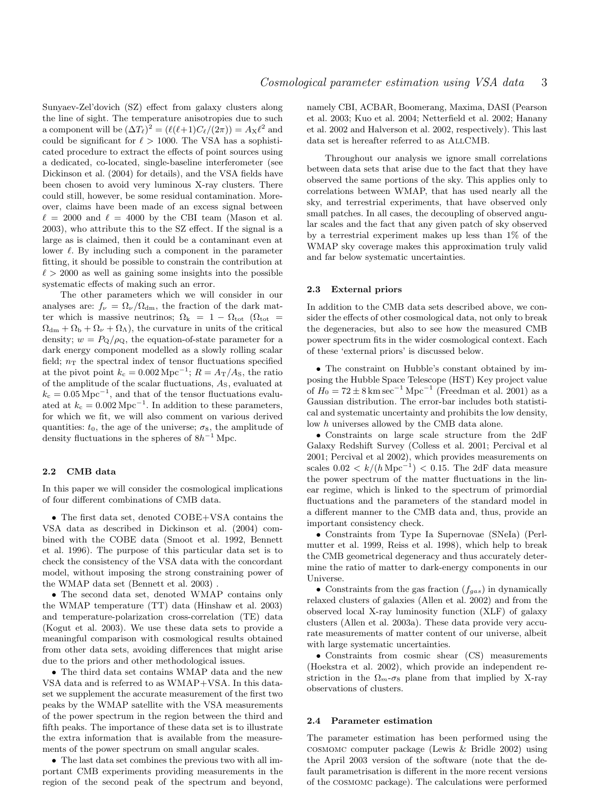Sunyaev-Zel'dovich (SZ) effect from galaxy clusters along the line of sight. The temperature anisotropies due to such a component will be  $(\Delta T_{\ell})^2 = (\ell(\ell+1)C_{\ell}/(2\pi)) = A_{\rm X}\ell^2$  and could be significant for  $\ell > 1000$ . The VSA has a sophisticated procedure to extract the effects of point sources using a dedicated, co-located, single-baseline interferometer (see Dickinson et al. (2004) for details), and the VSA fields have been chosen to avoid very luminous X-ray clusters. There could still, however, be some residual contamination. Moreover, claims have been made of an excess signal between  $\ell = 2000$  and  $\ell = 4000$  by the CBI team (Mason et al. 2003), who attribute this to the SZ effect. If the signal is a large as is claimed, then it could be a contaminant even at lower  $\ell$ . By including such a component in the parameter fitting, it should be possible to constrain the contribution at  $\ell > 2000$  as well as gaining some insights into the possible systematic effects of making such an error.

The other parameters which we will consider in our analyses are:  $f_{\nu} = \Omega_{\nu}/\Omega_{\rm dm}$ , the fraction of the dark matter which is massive neutrinos;  $\Omega_{\rm k} = 1 - \Omega_{\rm tot}$  ( $\Omega_{\rm tot} =$  $\Omega_{\rm dm} + \Omega_{\rm b} + \Omega_{\nu} + \Omega_{\Lambda}$ , the curvature in units of the critical density;  $w = P_{\mathbf{Q}}/\rho_{\mathbf{Q}}$ , the equation-of-state parameter for a dark energy component modelled as a slowly rolling scalar field;  $n<sub>T</sub>$  the spectral index of tensor fluctuations specified at the pivot point  $k_c = 0.002 \,\mathrm{Mpc}^{-1}$ ;  $R = A_T/A_S$ , the ratio of the amplitude of the scalar fluctuations, AS, evaluated at  $k_c = 0.05 \,\mathrm{Mpc}^{-1}$ , and that of the tensor fluctuations evaluated at  $k_c = 0.002 \,\mathrm{Mpc}^{-1}$ . In addition to these parameters, for which we fit, we will also comment on various derived quantities:  $t_0$ , the age of the universe;  $\sigma_8$ , the amplitude of density fluctuations in the spheres of  $8h^{-1}$  Mpc.

# 2.2 CMB data

In this paper we will consider the cosmological implications of four different combinations of CMB data.

• The first data set, denoted COBE+VSA contains the VSA data as described in Dickinson et al. (2004) combined with the COBE data (Smoot et al. 1992, Bennett et al. 1996). The purpose of this particular data set is to check the consistency of the VSA data with the concordant model, without imposing the strong constraining power of the WMAP data set (Bennett et al. 2003) .

• The second data set, denoted WMAP contains only the WMAP temperature (TT) data (Hinshaw et al. 2003) and temperature-polarization cross-correlation (TE) data (Kogut et al. 2003). We use these data sets to provide a meaningful comparison with cosmological results obtained from other data sets, avoiding differences that might arise due to the priors and other methodological issues.

• The third data set contains WMAP data and the new VSA data and is referred to as WMAP+VSA. In this dataset we supplement the accurate measurement of the first two peaks by the WMAP satellite with the VSA measurements of the power spectrum in the region between the third and fifth peaks. The importance of these data set is to illustrate the extra information that is available from the measurements of the power spectrum on small angular scales.

• The last data set combines the previous two with all important CMB experiments providing measurements in the region of the second peak of the spectrum and beyond, namely CBI, ACBAR, Boomerang, Maxima, DASI (Pearson et al. 2003; Kuo et al. 2004; Netterfield et al. 2002; Hanany et al. 2002 and Halverson et al. 2002, respectively). This last data set is hereafter referred to as AllCMB.

Throughout our analysis we ignore small correlations between data sets that arise due to the fact that they have observed the same portions of the sky. This applies only to correlations between WMAP, that has used nearly all the sky, and terrestrial experiments, that have observed only small patches. In all cases, the decoupling of observed angular scales and the fact that any given patch of sky observed by a terrestrial experiment makes up less than 1% of the WMAP sky coverage makes this approximation truly valid and far below systematic uncertainties.

# 2.3 External priors

In addition to the CMB data sets described above, we consider the effects of other cosmological data, not only to break the degeneracies, but also to see how the measured CMB power spectrum fits in the wider cosmological context. Each of these 'external priors' is discussed below.

• The constraint on Hubble's constant obtained by imposing the Hubble Space Telescope (HST) Key project value of  $H_0 = 72 \pm 8 \,\mathrm{km \, sec}^{-1} \,\mathrm{Mpc}^{-1}$  (Freedman et al. 2001) as a Gaussian distribution. The error-bar includes both statistical and systematic uncertainty and prohibits the low density, low h universes allowed by the CMB data alone.

• Constraints on large scale structure from the 2dF Galaxy Redshift Survey (Colless et al. 2001; Percival et al 2001; Percival et al 2002), which provides measurements on scales  $0.02 < k/(h \,\text{Mpc}^{-1}) < 0.15$ . The 2dF data measure the power spectrum of the matter fluctuations in the linear regime, which is linked to the spectrum of primordial fluctuations and the parameters of the standard model in a different manner to the CMB data and, thus, provide an important consistency check.

• Constraints from Type Ia Supernovae (SNeIa) (Perlmutter et al. 1999, Reiss et al. 1998), which help to break the CMB geometrical degeneracy and thus accurately determine the ratio of matter to dark-energy components in our Universe.

• Constraints from the gas fraction  $(f_{gas})$  in dynamically relaxed clusters of galaxies (Allen et al. 2002) and from the observed local X-ray luminosity function (XLF) of galaxy clusters (Allen et al. 2003a). These data provide very accurate measurements of matter content of our universe, albeit with large systematic uncertainties.

• Constraints from cosmic shear (CS) measurements (Hoekstra et al. 2002), which provide an independent restriction in the  $\Omega_m$ - $\sigma_8$  plane from that implied by X-ray observations of clusters.

## 2.4 Parameter estimation

The parameter estimation has been performed using the cosmomc computer package (Lewis & Bridle 2002) using the April 2003 version of the software (note that the default parametrisation is different in the more recent versions of the cosmomc package). The calculations were performed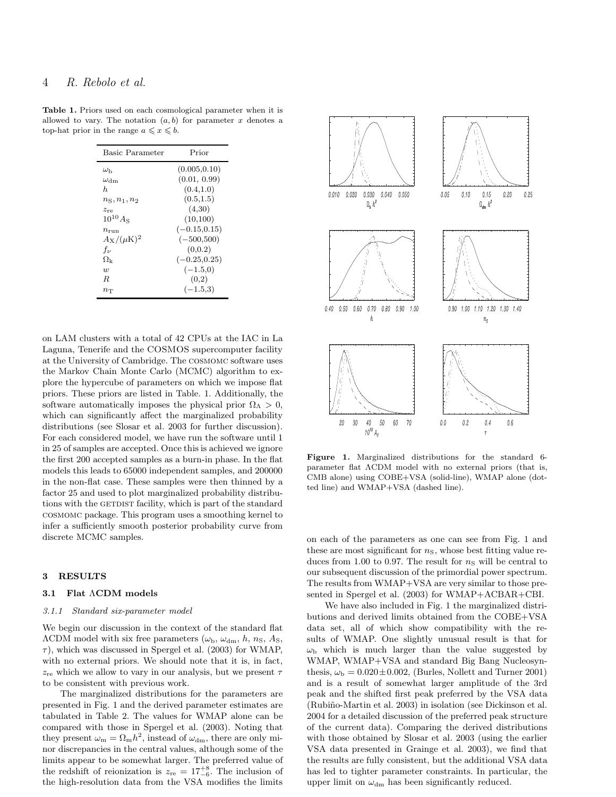| <b>Basic Parameter</b>     | Prior           |
|----------------------------|-----------------|
| $\omega_{\rm b}$           | (0.005, 0.10)   |
| $\omega_{\rm dm}$          | (0.01, 0.99)    |
| h.                         | (0.4, 1.0)      |
| $n_{\rm S}, n_1, n_2$      | (0.5, 1.5)      |
| $z_{\rm re}$               | (4,30)          |
| $10^{10} A_{\rm S}$        | (10,100)        |
| $n_{\rm run}$              | $(-0.15, 0.15)$ |
| $A_{\rm X}/(\mu{\rm K})^2$ | $(-500,500)$    |
| $f_{\nu}$                  | (0.0.2)         |
| $\Omega_{\rm k}$           | $(-0.25, 0.25)$ |
| $\overline{w}$             | $(-1.5,0)$      |
| R                          | (0,2)           |
| $n_{\rm T}$                | $(-1.5,3)$      |
|                            |                 |

Table 1. Priors used on each cosmological parameter when it is allowed to vary. The notation  $(a, b)$  for parameter x denotes a top-hat prior in the range  $a \leq x \leq b$ .

on LAM clusters with a total of 42 CPUs at the IAC in La Laguna, Tenerife and the COSMOS supercomputer facility at the University of Cambridge. The cosmomc software uses the Markov Chain Monte Carlo (MCMC) algorithm to explore the hypercube of parameters on which we impose flat priors. These priors are listed in Table. 1. Additionally, the software automatically imposes the physical prior  $\Omega_{\Lambda} > 0$ , which can significantly affect the marginalized probability distributions (see Slosar et al. 2003 for further discussion). For each considered model, we have run the software until 1 in 25 of samples are accepted. Once this is achieved we ignore the first 200 accepted samples as a burn-in phase. In the flat models this leads to 65000 independent samples, and 200000 in the non-flat case. These samples were then thinned by a factor 25 and used to plot marginalized probability distributions with the GETDIST facility, which is part of the standard cosmomc package. This program uses a smoothing kernel to infer a sufficiently smooth posterior probability curve from discrete MCMC samples.

# 3 RESULTS

#### 3.1 Flat ΛCDM models

#### 3.1.1 Standard six-parameter model

We begin our discussion in the context of the standard flat  $\Lambda$ CDM model with six free parameters ( $\omega_{\rm b}$ ,  $\omega_{\rm dm}$ , h, n<sub>S</sub>, A<sub>S</sub>,  $\tau$ ), which was discussed in Spergel et al. (2003) for WMAP, with no external priors. We should note that it is, in fact,  $z_{\text{re}}$  which we allow to vary in our analysis, but we present  $\tau$ to be consistent with previous work.

The marginalized distributions for the parameters are presented in Fig. 1 and the derived parameter estimates are tabulated in Table 2. The values for WMAP alone can be compared with those in Spergel et al. (2003). Noting that they present  $\omega_{\rm m} = \Omega_{\rm m} h^2$ , instead of  $\omega_{\rm dm}$ , there are only minor discrepancies in the central values, although some of the limits appear to be somewhat larger. The preferred value of the redshift of reionization is  $z_{\text{re}} = 17^{+8}_{-6}$ . The inclusion of the high-resolution data from the VSA modifies the limits



Figure 1. Marginalized distributions for the standard 6 parameter flat ΛCDM model with no external priors (that is, CMB alone) using COBE+VSA (solid-line), WMAP alone (dotted line) and WMAP+VSA (dashed line).

on each of the parameters as one can see from Fig. 1 and these are most significant for  $n<sub>S</sub>$ , whose best fitting value reduces from 1.00 to 0.97. The result for  $n<sub>S</sub>$  will be central to our subsequent discussion of the primordial power spectrum. The results from WMAP+VSA are very similar to those presented in Spergel et al. (2003) for WMAP+ACBAR+CBI.

We have also included in Fig. 1 the marginalized distributions and derived limits obtained from the COBE+VSA data set, all of which show compatibility with the results of WMAP. One slightly unusual result is that for  $\omega_{\rm b}$  which is much larger than the value suggested by WMAP, WMAP+VSA and standard Big Bang Nucleosynthesis,  $\omega_{\rm b} = 0.020 \pm 0.002$ , (Burles, Nollett and Turner 2001) and is a result of somewhat larger amplitude of the 3rd peak and the shifted first peak preferred by the VSA data (Rubiño-Martin et al. 2003) in isolation (see Dickinson et al. 2004 for a detailed discussion of the preferred peak structure of the current data). Comparing the derived distributions with those obtained by Slosar et al. 2003 (using the earlier VSA data presented in Grainge et al. 2003), we find that the results are fully consistent, but the additional VSA data has led to tighter parameter constraints. In particular, the upper limit on  $\omega_{dm}$  has been significantly reduced.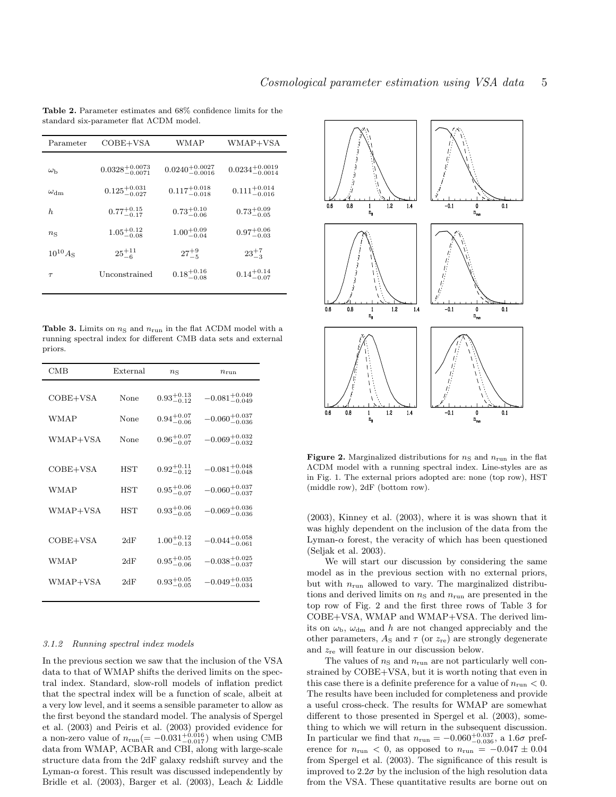| Parameter           | $COBE+VSA$                   | WMAP                         | WMAP+VSA                     |  |
|---------------------|------------------------------|------------------------------|------------------------------|--|
|                     |                              |                              |                              |  |
| $\omega_{\rm b}$    | $0.0328^{+0.0073}_{-0.0071}$ | $0.0240^{+0.0027}_{-0.0016}$ | $0.0234^{+0.0019}_{-0.0014}$ |  |
| $\omega_{\rm dm}$   | $0.125^{+0.031}_{-0.027}$    | $0.117^{+0.018}_{-0.018}$    | $0.111^{+0.014}_{-0.016}$    |  |
| h.                  | $0.77^{+0.15}_{-0.17}$       | $0.73^{+0.10}_{-0.06}$       | $0.73^{+0.09}_{-0.05}$       |  |
| $n_{\rm S}$         | $1.05^{+0.12}_{-0.08}$       | $1.00^{+0.09}_{-0.04}$       | $0.97^{+0.06}_{-0.03}$       |  |
| $10^{10} A_{\rm S}$ | $25^{+11}_{-6}$              | $27^{+9}_{-5}$               | $23^{+7}_{-3}$               |  |
| $\tau$              | Unconstrained                | $0.18^{+0.16}_{-0.08}$       | $0.14^{+0.14}_{-0.07}$       |  |
|                     |                              |                              |                              |  |

Table 2. Parameter estimates and 68% confidence limits for the standard six-parameter flat ΛCDM model.

Table 3. Limits on  $n<sub>S</sub>$  and  $n<sub>run</sub>$  in the flat  $\Lambda$ CDM model with a running spectral index for different CMB data sets and external priors.

| CMB        | External   | $n_{\rm S}$<br>$n_{\text{run}}$ |                            |
|------------|------------|---------------------------------|----------------------------|
|            |            |                                 |                            |
| COBE+VSA   | None       | $0.93^{+0.13}_{-0.12}$          | $-0.081^{+0.049}_{-0.049}$ |
| WMAP       | None       | $0.94^{+0.07}_{-0.06}$          | $-0.060^{+0.037}_{-0.036}$ |
| WMAP+VSA   | None       | $0.96^{+0.07}_{-0.07}$          | $-0.069^{+0.032}_{-0.032}$ |
|            |            |                                 |                            |
| $COBE+VSA$ | <b>HST</b> | $0.92^{+0.11}_{-0.12}$          | $-0.081^{+0.048}_{-0.048}$ |
| WMAP       | HST        | $0.95^{+0.06}_{-0.07}$          | $-0.060^{+0.037}_{-0.037}$ |
| WMAP+VSA   | <b>HST</b> | $0.93^{+0.06}_{-0.05}$          | $-0.069^{+0.036}_{-0.036}$ |
|            |            |                                 |                            |
| COBE+VSA   | 2dF        | $1.00^{+0.12}_{-0.13}$          | $-0.044_{-0.061}^{+0.058}$ |
| WMAP       | 2dF        | $0.95^{+0.05}_{-0.06}$          | $-0.038_{-0.037}^{+0.025}$ |
| WMAP+VSA   | 2dF        | $0.93^{+0.05}_{-0.05}$          | $-0.049_{-0.034}^{+0.035}$ |
|            |            |                                 |                            |

# 3.1.2 Running spectral index models

In the previous section we saw that the inclusion of the VSA data to that of WMAP shifts the derived limits on the spectral index. Standard, slow-roll models of inflation predict that the spectral index will be a function of scale, albeit at a very low level, and it seems a sensible parameter to allow as the first beyond the standard model. The analysis of Spergel et al. (2003) and Peiris et al. (2003) provided evidence for a non-zero value of  $n_{\text{run}}(=-0.031^{+0.016}_{-0.017})$  when using CMB data from WMAP, ACBAR and CBI, along with large-scale structure data from the 2dF galaxy redshift survey and the Lyman- $\alpha$  forest. This result was discussed independently by Bridle et al. (2003), Barger et al. (2003), Leach & Liddle



Figure 2. Marginalized distributions for  $n<sub>S</sub>$  and  $n<sub>run</sub>$  in the flat ΛCDM model with a running spectral index. Line-styles are as in Fig. 1. The external priors adopted are: none (top row), HST (middle row), 2dF (bottom row).

(2003), Kinney et al. (2003), where it is was shown that it was highly dependent on the inclusion of the data from the Lyman- $\alpha$  forest, the veracity of which has been questioned (Seljak et al. 2003).

We will start our discussion by considering the same model as in the previous section with no external priors, but with  $n_{run}$  allowed to vary. The marginalized distributions and derived limits on  $n<sub>S</sub>$  and  $n<sub>run</sub>$  are presented in the top row of Fig. 2 and the first three rows of Table 3 for COBE+VSA, WMAP and WMAP+VSA. The derived limits on  $\omega_{\rm b}$ ,  $\omega_{\rm dm}$  and h are not changed appreciably and the other parameters,  $A_{\rm S}$  and  $\tau$  (or  $z_{\rm re})$  are strongly degenerate and  $z_{\text{re}}$  will feature in our discussion below.

The values of  $n<sub>S</sub>$  and  $n<sub>run</sub>$  are not particularly well constrained by COBE+VSA, but it is worth noting that even in this case there is a definite preference for a value of  $n_{run} < 0$ . The results have been included for completeness and provide a useful cross-check. The results for WMAP are somewhat different to those presented in Spergel et al. (2003), something to which we will return in the subsequent discussion. In particular we find that  $n_{\text{run}} = -0.060_{-0.036}^{+0.037}$ , a  $1.6\sigma$  preference for  $n_{\text{run}} < 0$ , as opposed to  $n_{\text{run}} = -0.047 \pm 0.04$ from Spergel et al. (2003). The significance of this result is improved to  $2.2\sigma$  by the inclusion of the high resolution data from the VSA. These quantitative results are borne out on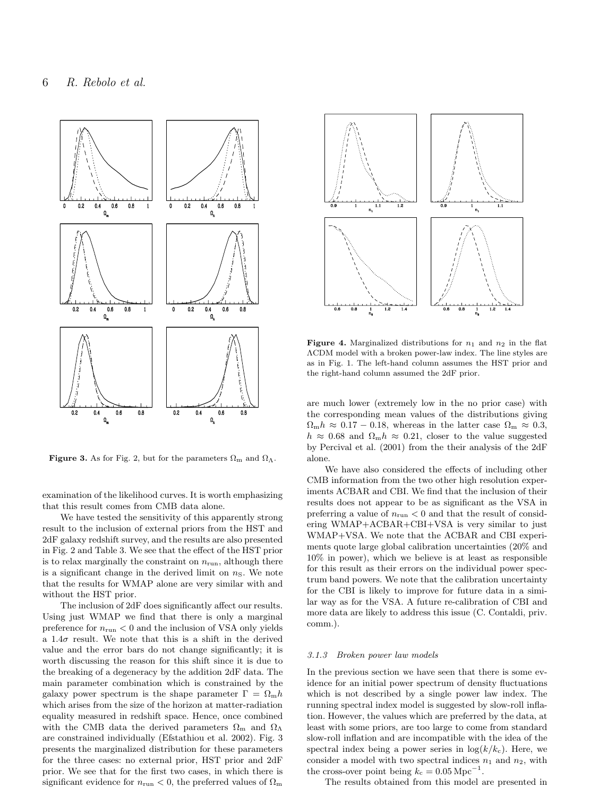

**Figure 3.** As for Fig. 2, but for the parameters  $\Omega_{\rm m}$  and  $\Omega_{\Lambda}$ .

examination of the likelihood curves. It is worth emphasizing that this result comes from CMB data alone.

We have tested the sensitivity of this apparently strong result to the inclusion of external priors from the HST and 2dF galaxy redshift survey, and the results are also presented in Fig. 2 and Table 3. We see that the effect of the HST prior is to relax marginally the constraint on  $n_{run}$ , although there is a significant change in the derived limit on  $n<sub>S</sub>$ . We note that the results for WMAP alone are very similar with and without the HST prior.

The inclusion of 2dF does significantly affect our results. Using just WMAP we find that there is only a marginal preference for  $n_{\text{run}} < 0$  and the inclusion of VSA only yields a  $1.4\sigma$  result. We note that this is a shift in the derived value and the error bars do not change significantly; it is worth discussing the reason for this shift since it is due to the breaking of a degeneracy by the addition 2dF data. The main parameter combination which is constrained by the galaxy power spectrum is the shape parameter  $\Gamma = \Omega_{\rm m} h$ which arises from the size of the horizon at matter-radiation equality measured in redshift space. Hence, once combined with the CMB data the derived parameters  $\Omega_{\rm m}$  and  $\Omega_{\Lambda}$ are constrained individually (Efstathiou et al. 2002). Fig. 3 presents the marginalized distribution for these parameters for the three cases: no external prior, HST prior and 2dF prior. We see that for the first two cases, in which there is significant evidence for  $n_{\text{run}} < 0$ , the preferred values of  $\Omega_{\text{m}}$ 



Figure 4. Marginalized distributions for  $n_1$  and  $n_2$  in the flat ΛCDM model with a broken power-law index. The line styles are as in Fig. 1. The left-hand column assumes the HST prior and the right-hand column assumed the 2dF prior.

are much lower (extremely low in the no prior case) with the corresponding mean values of the distributions giving  $\Omega_{\rm m}h \approx 0.17 - 0.18$ , whereas in the latter case  $\Omega_{\rm m} \approx 0.3$ ,  $h \approx 0.68$  and  $\Omega_{\rm m}h \approx 0.21$ , closer to the value suggested by Percival et al. (2001) from the their analysis of the 2dF alone.

We have also considered the effects of including other CMB information from the two other high resolution experiments ACBAR and CBI. We find that the inclusion of their results does not appear to be as significant as the VSA in preferring a value of  $n_{\text{run}} < 0$  and that the result of considering WMAP+ACBAR+CBI+VSA is very similar to just WMAP+VSA. We note that the ACBAR and CBI experiments quote large global calibration uncertainties (20% and 10% in power), which we believe is at least as responsible for this result as their errors on the individual power spectrum band powers. We note that the calibration uncertainty for the CBI is likely to improve for future data in a similar way as for the VSA. A future re-calibration of CBI and more data are likely to address this issue (C. Contaldi, priv. comm.).

### 3.1.3 Broken power law models

In the previous section we have seen that there is some evidence for an initial power spectrum of density fluctuations which is not described by a single power law index. The running spectral index model is suggested by slow-roll inflation. However, the values which are preferred by the data, at least with some priors, are too large to come from standard slow-roll inflation and are incompatible with the idea of the spectral index being a power series in  $log(k/k_c)$ . Here, we consider a model with two spectral indices  $n_1$  and  $n_2$ , with the cross-over point being  $k_c = 0.05 \,\mathrm{Mpc}^{-1}$ .

The results obtained from this model are presented in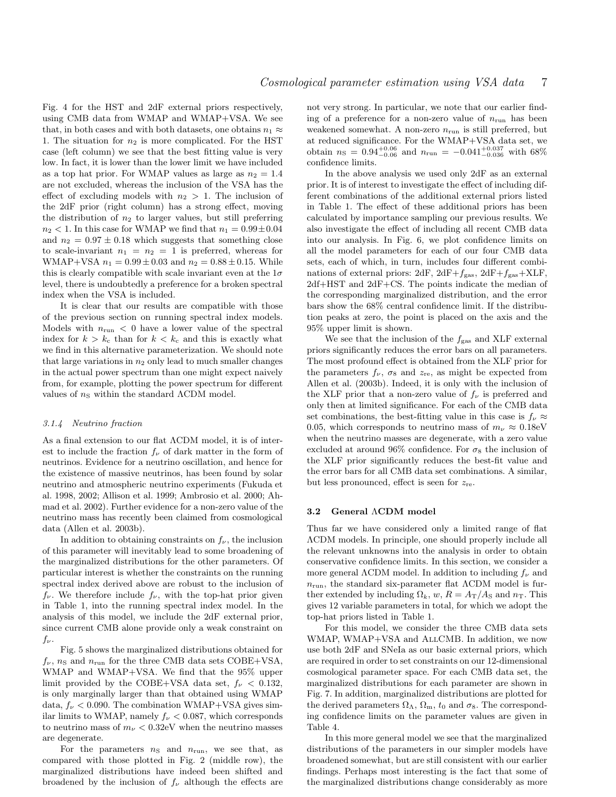Fig. 4 for the HST and 2dF external priors respectively, using CMB data from WMAP and WMAP+VSA. We see that, in both cases and with both datasets, one obtains  $n_1 \approx$ 1. The situation for  $n_2$  is more complicated. For the HST case (left column) we see that the best fitting value is very low. In fact, it is lower than the lower limit we have included as a top hat prior. For WMAP values as large as  $n_2 = 1.4$ are not excluded, whereas the inclusion of the VSA has the effect of excluding models with  $n_2 > 1$ . The inclusion of the 2dF prior (right column) has a strong effect, moving the distribution of  $n_2$  to larger values, but still preferring  $n_2$  < 1. In this case for WMAP we find that  $n_1 = 0.99 \pm 0.04$ and  $n_2 = 0.97 \pm 0.18$  which suggests that something close to scale-invariant  $n_1 = n_2 = 1$  is preferred, whereas for WMAP+VSA  $n_1 = 0.99 \pm 0.03$  and  $n_2 = 0.88 \pm 0.15$ . While this is clearly compatible with scale invariant even at the  $1\sigma$ level, there is undoubtedly a preference for a broken spectral index when the VSA is included.

It is clear that our results are compatible with those of the previous section on running spectral index models. Models with  $n_{\text{run}} < 0$  have a lower value of the spectral index for  $k > k_c$  than for  $k < k_c$  and this is exactly what we find in this alternative parameterization. We should note that large variations in  $n_2$  only lead to much smaller changes in the actual power spectrum than one might expect naively from, for example, plotting the power spectrum for different values of  $n<sub>S</sub>$  within the standard  $\Lambda$ CDM model.

### 3.1.4 Neutrino fraction

As a final extension to our flat ΛCDM model, it is of interest to include the fraction  $f_{\nu}$  of dark matter in the form of neutrinos. Evidence for a neutrino oscillation, and hence for the existence of massive neutrinos, has been found by solar neutrino and atmospheric neutrino experiments (Fukuda et al. 1998, 2002; Allison et al. 1999; Ambrosio et al. 2000; Ahmad et al. 2002). Further evidence for a non-zero value of the neutrino mass has recently been claimed from cosmological data (Allen et al. 2003b).

In addition to obtaining constraints on  $f_{\nu}$ , the inclusion of this parameter will inevitably lead to some broadening of the marginalized distributions for the other parameters. Of particular interest is whether the constraints on the running spectral index derived above are robust to the inclusion of  $f_{\nu}$ . We therefore include  $f_{\nu}$ , with the top-hat prior given in Table 1, into the running spectral index model. In the analysis of this model, we include the 2dF external prior, since current CMB alone provide only a weak constraint on  $f_\nu$ .

Fig. 5 shows the marginalized distributions obtained for  $f_{\nu}$ ,  $n_{\rm S}$  and  $n_{\rm run}$  for the three CMB data sets COBE+VSA, WMAP and WMAP+VSA. We find that the 95% upper limit provided by the COBE+VSA data set,  $f_{\nu} < 0.132$ , is only marginally larger than that obtained using WMAP data,  $f_{\nu}$  < 0.090. The combination WMAP+VSA gives similar limits to WMAP, namely  $f_{\nu} < 0.087$ , which corresponds to neutrino mass of  $m_{\nu} < 0.32$ eV when the neutrino masses are degenerate.

For the parameters  $n<sub>S</sub>$  and  $n<sub>run</sub>$ , we see that, as compared with those plotted in Fig. 2 (middle row), the marginalized distributions have indeed been shifted and broadened by the inclusion of  $f_{\nu}$  although the effects are

not very strong. In particular, we note that our earlier finding of a preference for a non-zero value of  $n_{run}$  has been weakened somewhat. A non-zero  $n_{run}$  is still preferred, but at reduced significance. For the WMAP+VSA data set, we obtain  $n_{\rm S} = 0.94_{-0.06}^{+0.06}$  and  $n_{\rm run} = -0.041_{-0.036}^{+0.037}$  with 68% confidence limits.

In the above analysis we used only 2dF as an external prior. It is of interest to investigate the effect of including different combinations of the additional external priors listed in Table 1. The effect of these additional priors has been calculated by importance sampling our previous results. We also investigate the effect of including all recent CMB data into our analysis. In Fig. 6, we plot confidence limits on all the model parameters for each of our four CMB data sets, each of which, in turn, includes four different combinations of external priors:  $2dF$ ,  $2dF+f<sub>gas</sub>$ ,  $2dF+f<sub>gas</sub>+XLF$ , 2df+HST and 2dF+CS. The points indicate the median of the corresponding marginalized distribution, and the error bars show the 68% central confidence limit. If the distribution peaks at zero, the point is placed on the axis and the 95% upper limit is shown.

We see that the inclusion of the  $f_{\rm gas}$  and XLF external priors significantly reduces the error bars on all parameters. The most profound effect is obtained from the XLF prior for the parameters  $f_{\nu}$ ,  $\sigma_8$  and  $z_{\rm re}$ , as might be expected from Allen et al. (2003b). Indeed, it is only with the inclusion of the XLF prior that a non-zero value of  $f_{\nu}$  is preferred and only then at limited significance. For each of the CMB data set combinations, the best-fitting value in this case is  $f_{\nu} \approx$ 0.05, which corresponds to neutrino mass of  $m_{\nu} \approx 0.18$ eV when the neutrino masses are degenerate, with a zero value excluded at around 96% confidence. For  $\sigma_8$  the inclusion of the XLF prior significantly reduces the best-fit value and the error bars for all CMB data set combinations. A similar, but less pronounced, effect is seen for  $z_{\text{re}}$ .

#### 3.2 General ΛCDM model

Thus far we have considered only a limited range of flat ΛCDM models. In principle, one should properly include all the relevant unknowns into the analysis in order to obtain conservative confidence limits. In this section, we consider a more general  $\Lambda$ CDM model. In addition to including  $f_{\nu}$  and  $n_{run}$ , the standard six-parameter flat  $\Lambda$ CDM model is further extended by including  $\Omega_k$ , w,  $R = A_{\rm T}/A_{\rm S}$  and  $n_{\rm T}$ . This gives 12 variable parameters in total, for which we adopt the top-hat priors listed in Table 1.

For this model, we consider the three CMB data sets WMAP, WMAP+VSA and ALLCMB. In addition, we now use both 2dF and SNeIa as our basic external priors, which are required in order to set constraints on our 12-dimensional cosmological parameter space. For each CMB data set, the marginalized distributions for each parameter are shown in Fig. 7. In addition, marginalized distributions are plotted for the derived parameters  $\Omega_{\Lambda}$ ,  $\Omega_{\rm m}$ ,  $t_0$  and  $\sigma_8$ . The corresponding confidence limits on the parameter values are given in Table 4.

In this more general model we see that the marginalized distributions of the parameters in our simpler models have broadened somewhat, but are still consistent with our earlier findings. Perhaps most interesting is the fact that some of the marginalized distributions change considerably as more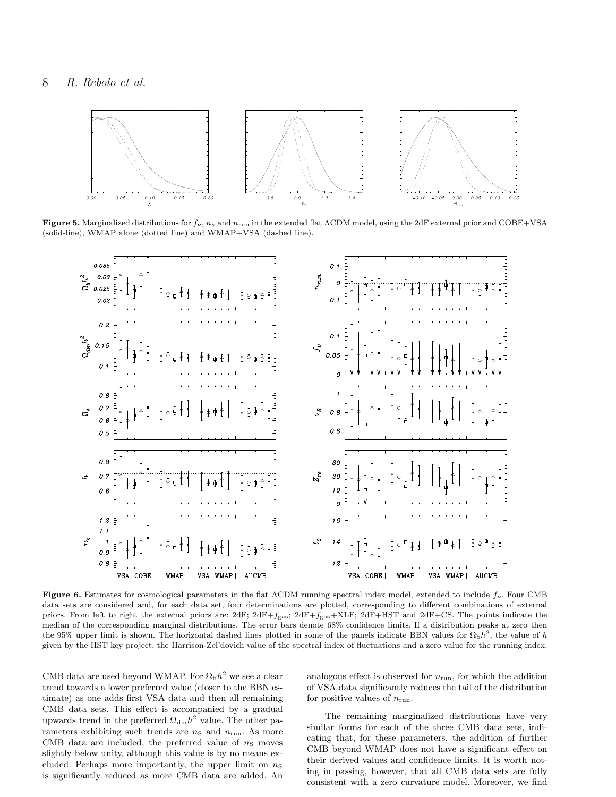

Figure 5. Marginalized distributions for  $f_{\nu}$ ,  $n_s$  and  $n_{run}$  in the extended flat  $\Lambda$ CDM model, using the 2dF external prior and COBE+VSA (solid-line), WMAP alone (dotted line) and WMAP+VSA (dashed line).



Figure 6. Estimates for cosmological parameters in the flat ΛCDM running spectral index model, extended to include  $f_{\nu}$ . Four CMB data sets are considered and, for each data set, four determinations are plotted, corresponding to different combinations of external priors. From left to right the external priors are:  $2dF$ ;  $2dF+f_{gas}$ ;  $2dF+f_{gas}$ ;  $2dF+f_{gas}$ ;  $2dF+HST$  and  $2dF+CS$ . The points indicate the median of the corresponding marginal distributions. The error bars denote 68% confidence limits. If a distribution peaks at zero then the 95% upper limit is shown. The horizontal dashed lines plotted in some of the panels indicate BBN values for  $\Omega_{\rm{b}}h^2$ , the value of h given by the HST key project, the Harrison-Zel'dovich value of the spectral index of fluctuations and a zero value for the running index.

CMB data are used beyond WMAP. For  $\Omega_{\rm b}h^2$  we see a clear trend towards a lower preferred value (closer to the BBN estimate) as one adds first VSA data and then all remaining CMB data sets. This effect is accompanied by a gradual upwards trend in the preferred  $\Omega_{dm}h^2$  value. The other parameters exhibiting such trends are  $n<sub>S</sub>$  and  $n<sub>run</sub>$ . As more CMB data are included, the preferred value of  $n<sub>S</sub>$  moves slightly below unity, although this value is by no means excluded. Perhaps more importantly, the upper limit on  $n<sub>S</sub>$ is significantly reduced as more CMB data are added. An analogous effect is observed for  $n_{\text{run}}$ , for which the addition of VSA data significantly reduces the tail of the distribution for positive values of  $n_{\text{run}}$ .

The remaining marginalized distributions have very similar forms for each of the three CMB data sets, indicating that, for these parameters, the addition of further CMB beyond WMAP does not have a significant effect on their derived values and confidence limits. It is worth noting in passing, however, that all CMB data sets are fully consistent with a zero curvature model. Moreover, we find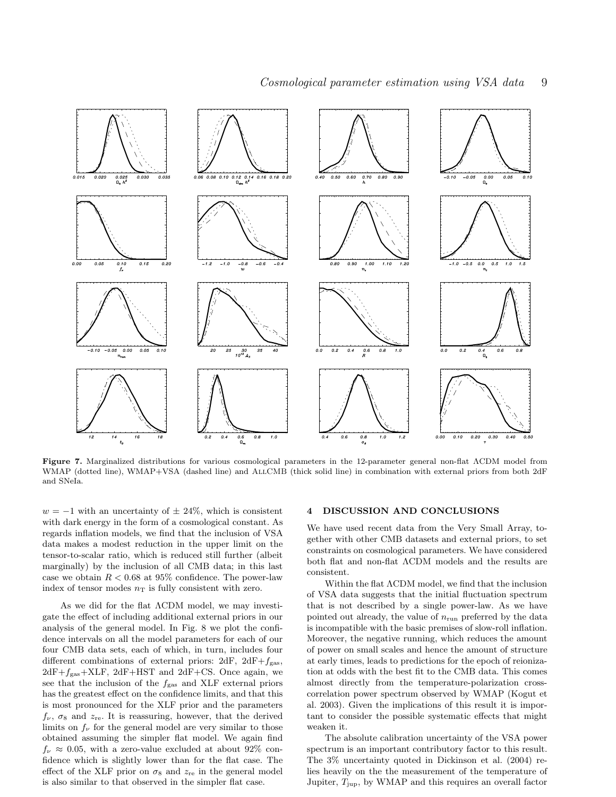

Figure 7. Marginalized distributions for various cosmological parameters in the 12-parameter general non-flat ΛCDM model from WMAP (dotted line), WMAP+VSA (dashed line) and AllCMB (thick solid line) in combination with external priors from both 2dF and SNeIa.

 $w = -1$  with an uncertainty of  $\pm 24\%$ , which is consistent with dark energy in the form of a cosmological constant. As regards inflation models, we find that the inclusion of VSA data makes a modest reduction in the upper limit on the tensor-to-scalar ratio, which is reduced still further (albeit marginally) by the inclusion of all CMB data; in this last case we obtain  $R < 0.68$  at 95% confidence. The power-law index of tensor modes  $n<sub>T</sub>$  is fully consistent with zero.

As we did for the flat ΛCDM model, we may investigate the effect of including additional external priors in our analysis of the general model. In Fig. 8 we plot the confidence intervals on all the model parameters for each of our four CMB data sets, each of which, in turn, includes four different combinations of external priors:  $2dF$ ,  $2dF+f<sub>gas</sub>$ ,  $2dF+f_{gas}+XLF$ ,  $2dF+HST$  and  $2dF+CS$ . Once again, we see that the inclusion of the  $f_{\text{gas}}$  and XLF external priors has the greatest effect on the confidence limits, and that this is most pronounced for the XLF prior and the parameters  $f_{\nu}$ ,  $\sigma_8$  and  $z_{\rm re}$ . It is reassuring, however, that the derived limits on  $f_{\nu}$  for the general model are very similar to those obtained assuming the simpler flat model. We again find  $f_{\nu} \approx 0.05$ , with a zero-value excluded at about 92% confidence which is slightly lower than for the flat case. The effect of the XLF prior on  $\sigma_8$  and  $z_{\rm re}$  in the general model is also similar to that observed in the simpler flat case.

## 4 DISCUSSION AND CONCLUSIONS

We have used recent data from the Very Small Array, together with other CMB datasets and external priors, to set constraints on cosmological parameters. We have considered both flat and non-flat ΛCDM models and the results are consistent.

Within the flat ΛCDM model, we find that the inclusion of VSA data suggests that the initial fluctuation spectrum that is not described by a single power-law. As we have pointed out already, the value of  $n_{run}$  preferred by the data is incompatible with the basic premises of slow-roll inflation. Moreover, the negative running, which reduces the amount of power on small scales and hence the amount of structure at early times, leads to predictions for the epoch of reionization at odds with the best fit to the CMB data. This comes almost directly from the temperature-polarization crosscorrelation power spectrum observed by WMAP (Kogut et al. 2003). Given the implications of this result it is important to consider the possible systematic effects that might weaken it.

The absolute calibration uncertainty of the VSA power spectrum is an important contributory factor to this result. The 3% uncertainty quoted in Dickinson et al. (2004) relies heavily on the the measurement of the temperature of Jupiter,  $T_{\text{jup}}$ , by WMAP and this requires an overall factor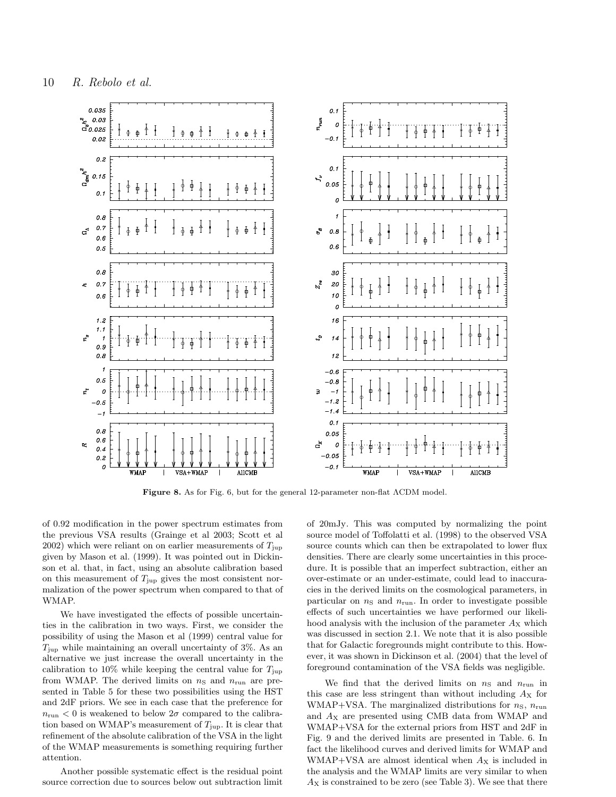

Figure 8. As for Fig. 6, but for the general 12-parameter non-flat ΛCDM model.

of 0.92 modification in the power spectrum estimates from the previous VSA results (Grainge et al 2003; Scott et al 2002) which were reliant on on earlier measurements of  $T_{\text{jup}}$ given by Mason et al. (1999). It was pointed out in Dickinson et al. that, in fact, using an absolute calibration based on this measurement of  $T_{\text{jup}}$  gives the most consistent normalization of the power spectrum when compared to that of WMAP.

We have investigated the effects of possible uncertainties in the calibration in two ways. First, we consider the possibility of using the Mason et al (1999) central value for  $T_{\text{jup}}$  while maintaining an overall uncertainty of 3%. As an alternative we just increase the overall uncertainty in the calibration to 10% while keeping the central value for  $T_{\text{jup}}$ from WMAP. The derived limits on  $n<sub>S</sub>$  and  $n<sub>run</sub>$  are presented in Table 5 for these two possibilities using the HST and 2dF priors. We see in each case that the preference for  $n_{\text{run}} < 0$  is weakened to below  $2\sigma$  compared to the calibration based on WMAP's measurement of  $T_{\text{jup}}$ . It is clear that refinement of the absolute calibration of the VSA in the light of the WMAP measurements is something requiring further attention.

Another possible systematic effect is the residual point source correction due to sources below out subtraction limit

of 20mJy. This was computed by normalizing the point source model of Toffolatti et al. (1998) to the observed VSA source counts which can then be extrapolated to lower flux densities. There are clearly some uncertainties in this procedure. It is possible that an imperfect subtraction, either an over-estimate or an under-estimate, could lead to inaccuracies in the derived limits on the cosmological parameters, in particular on  $n<sub>S</sub>$  and  $n<sub>run</sub>$ . In order to investigate possible effects of such uncertainties we have performed our likelihood analysis with the inclusion of the parameter  $A_X$  which was discussed in section 2.1. We note that it is also possible that for Galactic foregrounds might contribute to this. However, it was shown in Dickinson et al. (2004) that the level of foreground contamination of the VSA fields was negligible.

We find that the derived limits on  $n<sub>S</sub>$  and  $n<sub>run</sub>$  in this case are less stringent than without including  $A_X$  for WMAP+VSA. The marginalized distributions for  $n<sub>S</sub>$ ,  $n<sub>run</sub>$ and  $A_X$  are presented using CMB data from WMAP and WMAP+VSA for the external priors from HST and 2dF in Fig. 9 and the derived limits are presented in Table. 6. In fact the likelihood curves and derived limits for WMAP and WMAP+VSA are almost identical when  $A_X$  is included in the analysis and the WMAP limits are very similar to when  $A_X$  is constrained to be zero (see Table 3). We see that there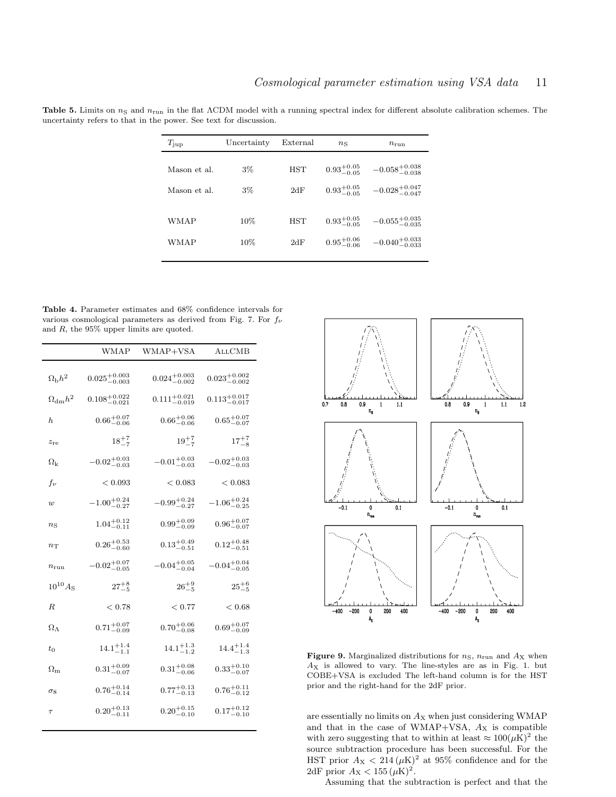Table 5. Limits on  $n_S$  and  $n_{run}$  in the flat  $\Lambda$ CDM model with a running spectral index for different absolute calibration schemes. The uncertainty refers to that in the power. See text for discussion.

| $T_{\rm imp}$ | Uncertainty | External   | $n_{\rm S}$            | $n_{\rm run}$              |
|---------------|-------------|------------|------------------------|----------------------------|
| Mason et al.  | $3\%$       | <b>HST</b> | $0.93^{+0.05}_{-0.05}$ | $-0.058^{+0.038}_{-0.038}$ |
| Mason et al.  | $3\%$       | 2dF        | $0.93^{+0.05}_{-0.05}$ | $-0.028^{+0.047}_{-0.047}$ |
| WMAP          | $10\%$      | <b>HST</b> | $0.93^{+0.05}_{-0.05}$ | $-0.055^{+0.035}_{-0.035}$ |
| WMAP          | $10\%$      | 2dF        | $0.95^{+0.06}_{-0.06}$ | $-0.040^{+0.033}_{-0.033}$ |

Table 4. Parameter estimates and 68% confidence intervals for various cosmological parameters as derived from Fig. 7. For  $f_{\nu}$ and R, the 95% upper limits are quoted.

|                       | WMAP                      | WMAP+VSA                  | <b>ALLCMB</b>             |
|-----------------------|---------------------------|---------------------------|---------------------------|
| $\Omega_{\rm{b}}h^2$  | $0.025^{+0.003}_{-0.003}$ | $0.024_{-0.002}^{+0.003}$ | $0.023_{-0.002}^{+0.002}$ |
| $\Omega_{\rm dm} h^2$ | $0.108^{+0.022}_{-0.021}$ | $0.111^{+0.021}_{-0.019}$ | $0.113^{+0.017}_{-0.017}$ |
| h                     | $0.66^{+0.07}_{-0.06}$    | $0.66^{+0.06}_{-0.06}$    | $0.65^{+0.07}_{-0.07}$    |
| $z_{\rm re}$          | $18^{+7}_{-7}$            | $19^{+7}_{-7}$            | $17^{+7}_{-8}$            |
| $\Omega_{\rm k}$      | $-0.02^{+0.03}_{-0.03}$   | $-0.01^{+0.03}_{-0.03}$   | $-0.02^{+0.03}_{-0.03}$   |
| $f_{\nu}$             | < 0.093                   | < 0.083                   | < 0.083                   |
| w                     | $-1.00^{+0.24}_{-0.27}$   | $-0.99^{+0.24}_{-0.27}$   | $-1.06^{+0.24}_{-0.25}$   |
| $n_{\rm S}$           | $1.04^{+0.12}_{-0.11}$    | $0.99^{+0.09}_{-0.09}$    | $0.96^{+0.07}_{-0.07}$    |
| $n_{\rm T}$           | $0.26^{+0.53}_{-0.60}$    | $0.13^{+0.49}_{-0.51}$    | $0.12^{+0.48}_{-0.51}$    |
| $n_{\rm run}$         | $-0.02^{+0.07}_{-0.05}$   | $-0.04^{+0.05}_{-0.04}$   | $-0.04^{+0.04}_{-0.05}$   |
| $10^{10} A_{\rm S}$   | $27^{+8}_{-5}$            | $26^{+9}_{-5}$            | $25^{+6}_{-5}$            |
| R.                    | < 0.78                    | < 0.77                    | < 0.68                    |
| $\Omega_{\Lambda}$    | $0.71^{+0.07}_{-0.09}$    | $0.70^{+0.06}_{-0.08}$    | $0.69^{+0.07}_{-0.09}$    |
| $t_{0}$               | $14.1^{+1.4}_{-1.1}$      | $14.1^{+1.3}_{-1.2}$      | $14.4^{+1.4}_{-1.3}$      |
| $\Omega_{\rm m}$      | $0.31^{+0.09}_{-0.07}$    | $0.31^{+0.08}_{-0.06}$    | $0.33^{+0.10}_{-0.07}$    |
| $\sigma_8$            | $0.76^{+0.14}_{-0.14}$    | $0.77^{+0.13}_{-0.13}$    | $0.76^{+0.11}_{-0.12}$    |
| $\tau$                | $0.20^{+0.13}_{-0.11}$    | $0.20^{+0.15}_{-0.10}$    | $0.17^{+0.12}_{-0.10}$    |
|                       |                           |                           |                           |



Figure 9. Marginalized distributions for  $n<sub>S</sub>$ ,  $n<sub>run</sub>$  and  $A<sub>X</sub>$  when  $A_X$  is allowed to vary. The line-styles are as in Fig. 1. but COBE+VSA is excluded The left-hand column is for the HST prior and the right-hand for the 2dF prior.

are essentially no limits on  $A_X$  when just considering WMAP and that in the case of WMAP+VSA,  $A_X$  is compatible with zero suggesting that to within at least  $\approx 100(\mu\text{K})^2$  the source subtraction procedure has been successful. For the HST prior  $A_X < 214 \, (\mu\text{K})^2$  at 95% confidence and for the 2dF prior  $A_X < 155 \, (\mu\text{K})^2$ .

Assuming that the subtraction is perfect and that the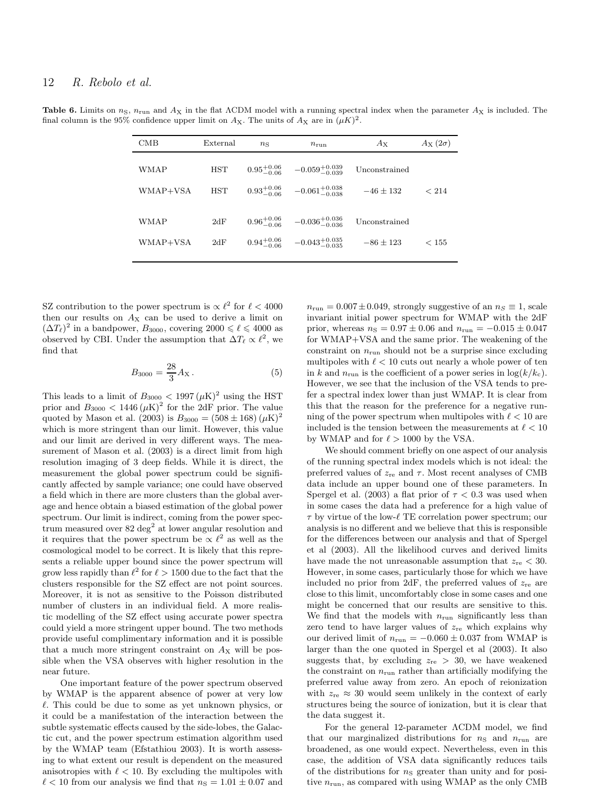Table 6. Limits on  $n<sub>S</sub>$ ,  $n<sub>run</sub>$  and  $A<sub>X</sub>$  in the flat  $\Lambda$ CDM model with a running spectral index when the parameter  $A<sub>X</sub>$  is included. The final column is the 95% confidence upper limit on  $A_X$ . The units of  $A_X$  are in  $(\mu K)^2$ .

| CMB      | External   | $n_{\rm S}$            | $n_{\text{run}}$           | $A_{\rm X}$   | $A_{\rm X}(2\sigma)$ |
|----------|------------|------------------------|----------------------------|---------------|----------------------|
| WMAP     | <b>HST</b> | $0.95^{+0.06}_{-0.06}$ | $-0.059^{+0.039}_{-0.039}$ | Unconstrained | < 214                |
| WMAP+VSA | <b>HST</b> | $0.93^{+0.06}_{-0.06}$ | $-0.061^{+0.038}_{-0.038}$ | $-46 + 132$   |                      |
| WMAP     | 2dF        | $0.96^{+0.06}_{-0.06}$ | $-0.036_{-0.036}^{+0.036}$ | Unconstrained | < 155                |
| WMAP+VSA | 2dF        | $0.94^{+0.06}_{-0.06}$ | $-0.043^{+0.035}_{-0.035}$ | $-86 + 123$   |                      |

SZ contribution to the power spectrum is  $\propto \ell^2$  for  $\ell < 4000$ then our results on  $A_X$  can be used to derive a limit on  $(\Delta T_{\ell})^2$  in a bandpower,  $B_{3000}$ , covering  $2000 \leq \ell \leq 4000$  as observed by CBI. Under the assumption that  $\Delta T_{\ell} \propto \ell^2$ , we find that

$$
B_{3000} = \frac{28}{3} A_{\rm X} \,. \tag{5}
$$

This leads to a limit of  $B_{3000} < 1997 \, (\mu K)^2$  using the HST prior and  $B_{3000} < 1446 \, (\mu\text{K})^2$  for the 2dF prior. The value quoted by Mason et al. (2003) is  $B_{3000} = (508 \pm 168) (\mu{\rm K})^2$ which is more stringent than our limit. However, this value and our limit are derived in very different ways. The measurement of Mason et al. (2003) is a direct limit from high resolution imaging of 3 deep fields. While it is direct, the measurement the global power spectrum could be significantly affected by sample variance; one could have observed a field which in there are more clusters than the global average and hence obtain a biased estimation of the global power spectrum. Our limit is indirect, coming from the power spectrum measured over  $82 \text{ deg}^2$  at lower angular resolution and it requires that the power spectrum be  $\propto \ell^2$  as well as the cosmological model to be correct. It is likely that this represents a reliable upper bound since the power spectrum will grow less rapidly than  $\ell^2$  for  $\ell > 1500$  due to the fact that the clusters responsible for the SZ effect are not point sources. Moreover, it is not as sensitive to the Poisson distributed number of clusters in an individual field. A more realistic modelling of the SZ effect using accurate power spectra could yield a more stringent upper bound. The two methods provide useful complimentary information and it is possible that a much more stringent constraint on  $A_X$  will be possible when the VSA observes with higher resolution in the near future.

One important feature of the power spectrum observed by WMAP is the apparent absence of power at very low  $\ell$ . This could be due to some as yet unknown physics, or it could be a manifestation of the interaction between the subtle systematic effects caused by the side-lobes, the Galactic cut, and the power spectrum estimation algorithm used by the WMAP team (Efstathiou 2003). It is worth assessing to what extent our result is dependent on the measured anisotropies with  $\ell < 10$ . By excluding the multipoles with  $\ell < 10$  from our analysis we find that  $n_{\rm S} = 1.01 \pm 0.07$  and  $n_{\text{run}} = 0.007 \pm 0.049$ , strongly suggestive of an  $n_S \equiv 1$ , scale invariant initial power spectrum for WMAP with the 2dF prior, whereas  $n_S = 0.97 \pm 0.06$  and  $n_{run} = -0.015 \pm 0.047$ for WMAP+VSA and the same prior. The weakening of the constraint on  $n_{\text{run}}$  should not be a surprise since excluding multipoles with  $\ell < 10$  cuts out nearly a whole power of ten in k and  $n_{\text{run}}$  is the coefficient of a power series in  $\log(k/k_c)$ . However, we see that the inclusion of the VSA tends to prefer a spectral index lower than just WMAP. It is clear from this that the reason for the preference for a negative running of the power spectrum when multipoles with  $\ell < 10$  are included is the tension between the measurements at  $\ell < 10$ by WMAP and for  $\ell > 1000$  by the VSA.

We should comment briefly on one aspect of our analysis of the running spectral index models which is not ideal: the preferred values of  $z_{\text{re}}$  and  $\tau$ . Most recent analyses of CMB data include an upper bound one of these parameters. In Spergel et al. (2003) a flat prior of  $\tau < 0.3$  was used when in some cases the data had a preference for a high value of  $\tau$  by virtue of the low- $\ell$  TE correlation power spectrum; our analysis is no different and we believe that this is responsible for the differences between our analysis and that of Spergel et al (2003). All the likelihood curves and derived limits have made the not unreasonable assumption that  $z_{\text{re}} < 30$ . However, in some cases, particularly those for which we have included no prior from  $2dF$ , the preferred values of  $z_{\text{re}}$  are close to this limit, uncomfortably close in some cases and one might be concerned that our results are sensitive to this. We find that the models with  $n_{run}$  significantly less than zero tend to have larger values of  $z_{\text{re}}$  which explains why our derived limit of  $n_{\text{run}} = -0.060 \pm 0.037$  from WMAP is larger than the one quoted in Spergel et al (2003). It also suggests that, by excluding  $z_{\text{re}} > 30$ , we have weakened the constraint on  $n_{\text{run}}$  rather than artificially modifying the preferred value away from zero. An epoch of reionization with  $z_{\text{re}} \approx 30$  would seem unlikely in the context of early structures being the source of ionization, but it is clear that the data suggest it.

For the general 12-parameter ΛCDM model, we find that our marginalized distributions for  $n<sub>S</sub>$  and  $n<sub>run</sub>$  are broadened, as one would expect. Nevertheless, even in this case, the addition of VSA data significantly reduces tails of the distributions for  $n<sub>S</sub>$  greater than unity and for positive  $n_{\rm run},$  as compared with using WMAP as the only CMB